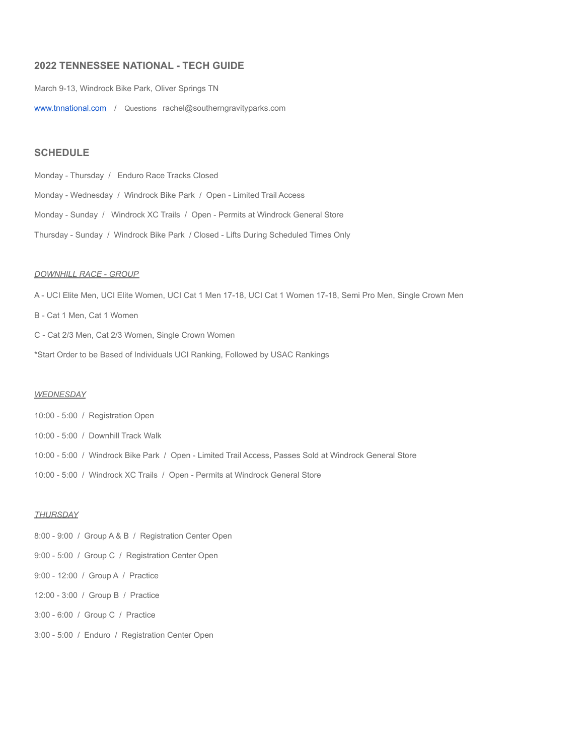# **2022 TENNESSEE NATIONAL - TECH GUIDE**

March 9-13, Windrock Bike Park, Oliver Springs TN

[www.tnnational.com](http://www.tnnational.com) / Questions rachel@southerngravityparks.com

# **SCHEDULE**

Monday - Thursday / Enduro Race Tracks Closed Monday - Wednesday / Windrock Bike Park / Open - Limited Trail Access Monday - Sunday / Windrock XC Trails / Open - Permits at Windrock General Store Thursday - Sunday / Windrock Bike Park / Closed - Lifts During Scheduled Times Only

#### *DOWNHILL RACE - GROUP*

A - UCI Elite Men, UCI Elite Women, UCI Cat 1 Men 17-18, UCI Cat 1 Women 17-18, Semi Pro Men, Single Crown Men B - Cat 1 Men, Cat 1 Women C - Cat 2/3 Men, Cat 2/3 Women, Single Crown Women \*Start Order to be Based of Individuals UCI Ranking, Followed by USAC Rankings

#### *WEDNESDAY*

10:00 - 5:00 / Registration Open 10:00 - 5:00 / Downhill Track Walk 10:00 - 5:00 / Windrock Bike Park / Open - Limited Trail Access, Passes Sold at Windrock General Store 10:00 - 5:00 / Windrock XC Trails / Open - Permits at Windrock General Store

### *THURSDAY*

8:00 - 9:00 / Group A & B / Registration Center Open 9:00 - 5:00 / Group C / Registration Center Open 9:00 - 12:00 / Group A / Practice 12:00 - 3:00 / Group B / Practice 3:00 - 6:00 / Group C / Practice 3:00 - 5:00 / Enduro / Registration Center Open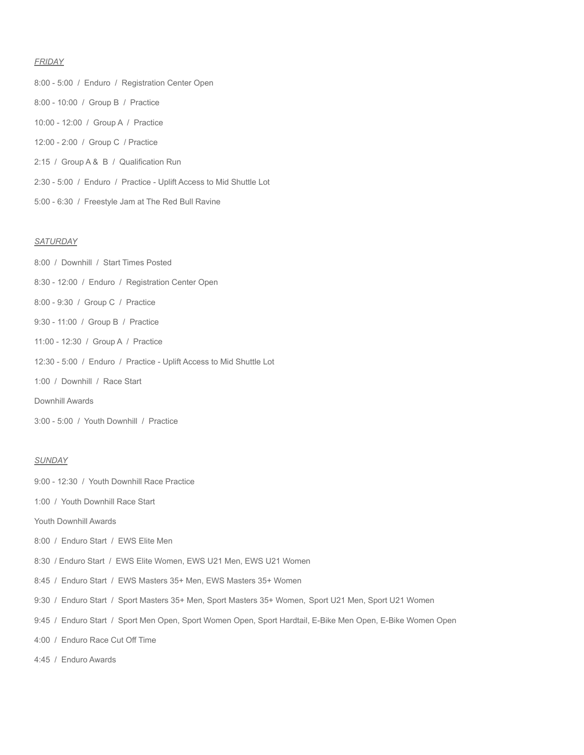### *FRIDAY*

- 8:00 5:00 / Enduro / Registration Center Open 8:00 - 10:00 / Group B / Practice 10:00 - 12:00 / Group A / Practice 12:00 - 2:00 / Group C / Practice 2:15 / Group A & B / Qualification Run 2:30 - 5:00 / Enduro / Practice - Uplift Access to Mid Shuttle Lot
- 5:00 6:30 / Freestyle Jam at The Red Bull Ravine

# *SATURDAY*

- 8:30 12:00 / Enduro / Registration Center Open
- 8:00 9:30 / Group C / Practice

8:00 / Downhill / Start Times Posted

- 9:30 11:00 / Group B / Practice
- 11:00 12:30 / Group A / Practice
- 12:30 5:00 / Enduro / Practice Uplift Access to Mid Shuttle Lot
- 1:00 / Downhill / Race Start
- Downhill Awards
- 3:00 5:00 / Youth Downhill / Practice

### *SUNDAY*

- 9:00 12:30 / Youth Downhill Race Practice
- 1:00 / Youth Downhill Race Start
- Youth Downhill Awards
- 8:00 / Enduro Start / EWS Elite Men
- 8:30 / Enduro Start / EWS Elite Women, EWS U21 Men, EWS U21 Women
- 8:45 / Enduro Start / EWS Masters 35+ Men, EWS Masters 35+ Women
- 9:30 / Enduro Start / Sport Masters 35+ Men, Sport Masters 35+ Women, Sport U21 Men, Sport U21 Women
- 9:45 / Enduro Start / Sport Men Open, Sport Women Open, Sport Hardtail, E-Bike Men Open, E-Bike Women Open
- 4:00 / Enduro Race Cut Off Time
- 4:45 / Enduro Awards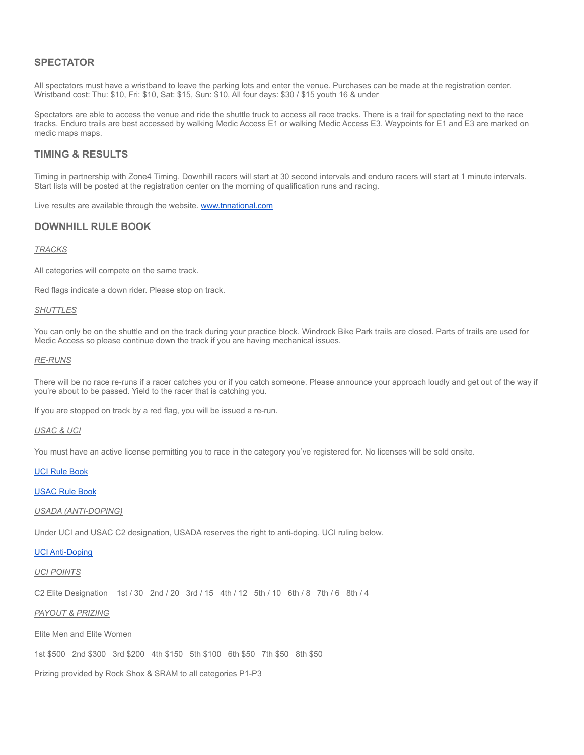# **SPECTATOR**

All spectators must have a wristband to leave the parking lots and enter the venue. Purchases can be made at the registration center. Wristband cost: Thu: \$10, Fri: \$10, Sat: \$15, Sun: \$10, All four days: \$30 / \$15 youth 16 & under

Spectators are able to access the venue and ride the shuttle truck to access all race tracks. There is a trail for spectating next to the race tracks. Enduro trails are best accessed by walking Medic Access E1 or walking Medic Access E3. Waypoints for E1 and E3 are marked on medic maps maps.

# **TIMING & RESULTS**

Timing in partnership with Zone4 Timing. Downhill racers will start at 30 second intervals and enduro racers will start at 1 minute intervals. Start lists will be posted at the registration center on the morning of qualification runs and racing.

Live results are available through the website. [www.tnnational.com](http://www.tnnational.com)

# **DOWNHILL RULE BOOK**

#### *TRACKS*

All categories will compete on the same track.

Red flags indicate a down rider. Please stop on track.

### *SHUTTLES*

You can only be on the shuttle and on the track during your practice block. Windrock Bike Park trails are closed. Parts of trails are used for Medic Access so please continue down the track if you are having mechanical issues.

### *RE-RUNS*

There will be no race re-runs if a racer catches you or if you catch someone. Please announce your approach loudly and get out of the way if you're about to be passed. Yield to the racer that is catching you.

If you are stopped on track by a red flag, you will be issued a re-run.

## *USAC & UCI*

You must have an active license permitting you to race in the category you've registered for. No licenses will be sold onsite.

#### UCI Rule [Book](https://assets.ctfassets.net/761l7gh5x5an/52jcyhbOYV5t64uHFYspXQ/875a24b855c28e47a0da0e4b309b8ab1/2021.11.25_-MTB_EN-left_column_final.pdf)

[USAC](https://usacycling.org/resources/rulebook?gclid=Cj0KCQiAmeKQBhDvARIsAHJ7mF6VPLTfkhB1IXa7Z3TRbFQVmoWKigP4ybE4MdRV0bN5uiUf71EqUawaAnFVEALw_wcB) Rule Book

#### *USADA (ANTI-DOPING)*

Under UCI and USAC C2 designation, USADA reserves the right to anti-doping. UCI ruling below.

### UCI [Anti-Doping](https://www.uci.org/anti-doping/192SPNKHvmPJkgVl6M6eNq)

### *UCI POINTS*

C2 Elite Designation 1st / 30 2nd / 20 3rd / 15 4th / 12 5th / 10 6th / 8 7th / 6 8th / 4

# *PAYOUT & PRIZING*

Elite Men and Elite Women

1st \$500 2nd \$300 3rd \$200 4th \$150 5th \$100 6th \$50 7th \$50 8th \$50

Prizing provided by Rock Shox & SRAM to all categories P1-P3